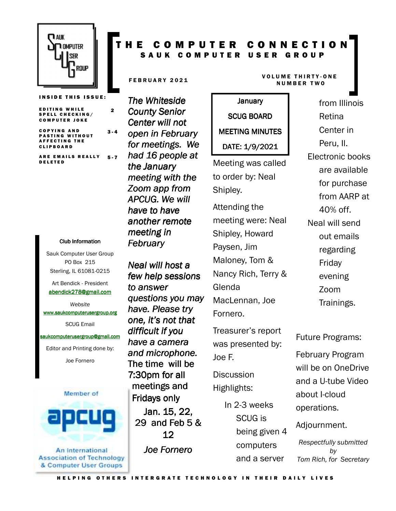

**INSIDE THIS ISSUE:** 

2

E D I T I N G WHILE SPELL CHECKING/ COMPUTER JOKE

C O P Y I N G A N D **PASTING WITHOUT** A F F E C T I N G T H E C L I P B O A R D  $3 - 4$ 

ARE EMAILS REALLY D E L E T E D 5 - 7

#### Club Information Club Information

Sauk Computer User Group PO Box 215 Sterling, IL 61081-0215

Art Bendick - President abendick278@gmail.com

*Website*  www.saukcomputerusergroup.org

SCUG Email

#### saukcomputerusergroup@gmail.com

Editor and Printing done by: Joe Fornero



**Association of Technology** & Computer User Groups

#### T H E C O M P U T E R C O N N E C T I O N SAUK COMPUTER USER GROUP

*The Whiteside County Senior Center will not open in February for meetings. We had 16 people at the January meeting with the Zoom app from APCUG. We will have to have another remote meeting in February* 

*Neal will host a few help sessions to answer questions you may have. Please try one, it's not that difficult if you have a camera and microphone.*  The time will be 7:30pm for all meetings and Fridays only Jan. 15, 22, 29 and Feb  $5 &$ 12

*Joe Fornero* 

#### FEBRUARY 2021 VOLUME THIRTY-ONE N U M B E R T W O

January January SCUG BOARD MEETING MINUTES DATE: 1/9/2021

Meeting was called to order by: Neal Shipley.

Attending the meeting were: Neal Shipley, Howard Paysen, Jim Maloney, Tom & Nancy Rich, Terry & Glenda MacLennan, Joe Fornero.

Treasurer's report was presented by: Joe F.

**Discussion** Highlights:

> In 2-3 weeks SCUG is being given 4 computers and a server

Retina Center in Peru, Il. Electronic books are available for purchase from AARP at 40% off. Neal will send out emails regarding Friday evening

from Illinois

Zoom Trainings.

Future Programs:

February Program will be on OneDrive and a U-tube Video about I-cloud operations.

Adjournment.

*Respectfully submitted by Tom Rich, for Secretary*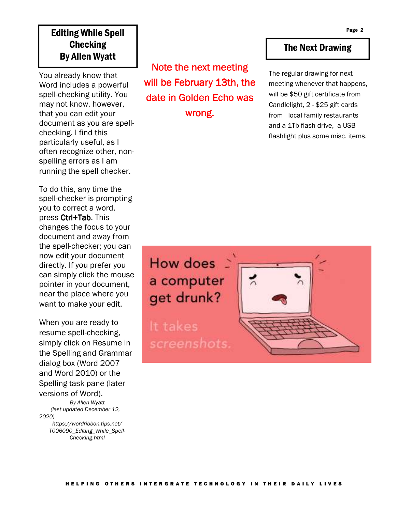## Editing While Spell **Checking** By Allen Wyatt

You already know that Word includes a powerful spell-checking utility. You may not know, however, that you can edit your document as you are spellchecking. I find this particularly useful, as I often recognize other, nonspelling errors as I am running the spell checker.

To do this, any time the spell-checker is prompting you to correct a word, press Ctrl+Tab. This changes the focus to your document and away from the spell-checker; you can now edit your document directly. If you prefer you can simply click the mouse pointer in your document, near the place where you want to make your edit.

When you are ready to resume spell-checking, simply click on Resume in the Spelling and Grammar dialog box (Word 2007 and Word 2010) or the Spelling task pane (later versions of Word). *By Allen Wyatt (last updated December 12, 2020) https://wordribbon.tips.net/*

*T006090\_Editing\_While\_Spell-Checking.html* 

Note the next meeting will be February 13th, the date in Golden Echo was wrong.

#### The Next Drawing

The regular drawing for next meeting whenever that happens, will be \$50 gift certificate from Candlelight, 2 - \$25 gift cards from local family restaurants and a 1Tb flash drive, a USB flashlight plus some misc. items.

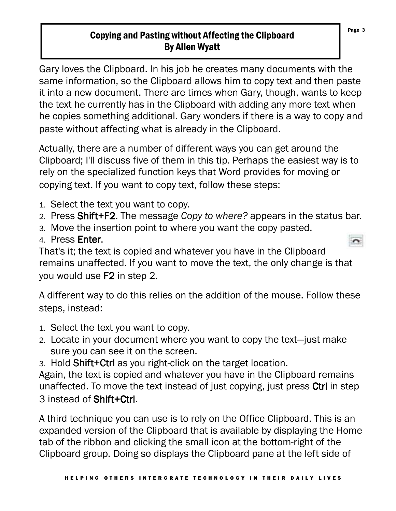## Copying and Pasting without Affecting the Clipboard By Allen Wyatt

Gary loves the Clipboard. In his job he creates many documents with the same information, so the Clipboard allows him to copy text and then paste it into a new document. There are times when Gary, though, wants to keep the text he currently has in the Clipboard with adding any more text when he copies something additional. Gary wonders if there is a way to copy and paste without affecting what is already in the Clipboard.

Actually, there are a number of different ways you can get around the Clipboard; I'll discuss five of them in this tip. Perhaps the easiest way is to rely on the specialized function keys that Word provides for moving or copying text. If you want to copy text, follow these steps:

- 1. Select the text you want to copy.
- 2. Press Shift+F2. The message *Copy to where?* appears in the status bar.
- 3. Move the insertion point to where you want the copy pasted.
- 4. Press Enter.

That's it; the text is copied and whatever you have in the Clipboard remains unaffected. If you want to move the text, the only change is that you would use F2 in step 2.

A different way to do this relies on the addition of the mouse. Follow these steps, instead:

- 1. Select the text you want to copy.
- 2. Locate in your document where you want to copy the text—just make sure you can see it on the screen.
- 3. Hold Shift+Ctrl as you right-click on the target location.

Again, the text is copied and whatever you have in the Clipboard remains unaffected. To move the text instead of just copying, just press Ctrl in step 3 instead of Shift+Ctrl.

A third technique you can use is to rely on the Office Clipboard. This is an expanded version of the Clipboard that is available by displaying the Home tab of the ribbon and clicking the small icon at the bottom-right of the Clipboard group. Doing so displays the Clipboard pane at the left side of

Page 3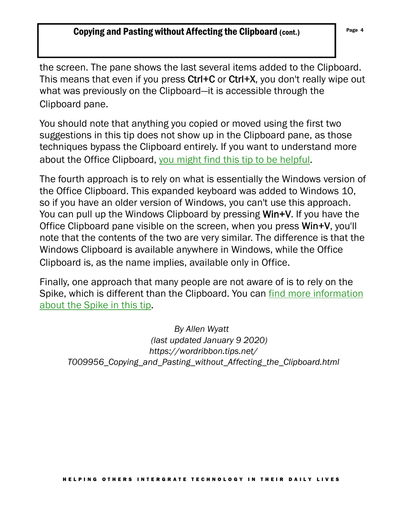the screen. The pane shows the last several items added to the Clipboard. This means that even if you press Ctrl+C or Ctrl+X, you don't really wipe out what was previously on the Clipboard—it is accessible through the Clipboard pane.

You should note that anything you copied or moved using the first two suggestions in this tip does not show up in the Clipboard pane, as those techniques bypass the Clipboard entirely. If you want to understand more about the Office Clipboard, you might find this tip to be helpful.

The fourth approach is to rely on what is essentially the Windows version of the Office Clipboard. This expanded keyboard was added to Windows 10, so if you have an older version of Windows, you can't use this approach. You can pull up the Windows Clipboard by pressing Win+V. If you have the Office Clipboard pane visible on the screen, when you press Win+V, you'll note that the contents of the two are very similar. The difference is that the Windows Clipboard is available anywhere in Windows, while the Office Clipboard is, as the name implies, available only in Office.

Finally, one approach that many people are not aware of is to rely on the Spike, which is different than the Clipboard. You can find more information about the Spike in this tip.

*By Allen Wyatt (last updated January 9 2020) https://wordribbon.tips.net/ T009956\_Copying\_and\_Pasting\_without\_Affecting\_the\_Clipboard.html*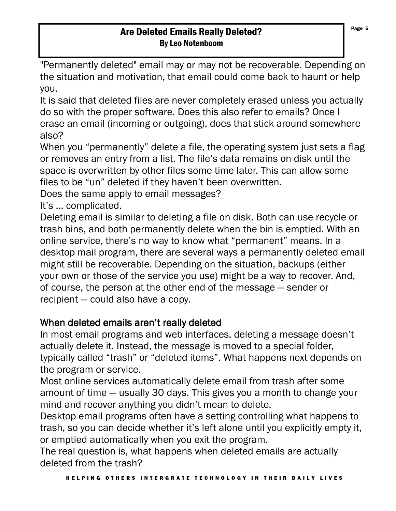#### Are Deleted Emails Really Deleted? By Leo Notenboom

"Permanently deleted" email may or may not be recoverable. Depending on the situation and motivation, that email could come back to haunt or help you.

It is said that deleted files are never completely erased unless you actually do so with the proper software. Does this also refer to emails? Once I erase an email (incoming or outgoing), does that stick around somewhere also?

When you "permanently" delete a file, the operating system just sets a flag or removes an entry from a list. The file's data remains on disk until the space is overwritten by other files some time later. This can allow some files to be "un" deleted if they haven't been overwritten.

Does the same apply to email messages?

It's … complicated.

Deleting email is similar to deleting a file on disk. Both can use recycle or trash bins, and both permanently delete when the bin is emptied. With an online service, there's no way to know what "permanent" means. In a desktop mail program, there are several ways a permanently deleted email might still be recoverable. Depending on the situation, backups (either your own or those of the service you use) might be a way to recover. And, of course, the person at the other end of the message — sender or recipient — could also have a copy.

# When deleted emails aren't really deleted

In most email programs and web interfaces, deleting a message doesn't actually delete it. Instead, the message is moved to a special folder, typically called "trash" or "deleted items". What happens next depends on the program or service.

Most online services automatically delete email from trash after some amount of time — usually 30 days. This gives you a month to change your mind and recover anything you didn't mean to delete.

Desktop email programs often have a setting controlling what happens to trash, so you can decide whether it's left alone until you explicitly empty it, or emptied automatically when you exit the program.

The real question is, what happens when deleted emails are actually deleted from the trash?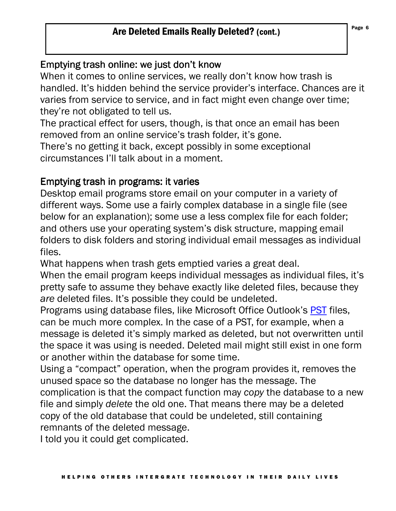## Are Deleted Emails Really Deleted? (cont.)

### Emptying trash online: we just don't know

When it comes to online services, we really don't know how trash is handled. It's hidden behind the service provider's interface. Chances are it varies from service to service, and in fact might even change over time; they're not obligated to tell us.

The practical effect for users, though, is that once an email has been removed from an online service's trash folder, it's gone.

There's no getting it back, except possibly in some exceptional circumstances I'll talk about in a moment.

### Emptying trash in programs: it varies

Desktop email programs store email on your computer in a variety of different ways. Some use a fairly complex database in a single file (see below for an explanation); some use a less complex file for each folder; and others use your operating system's disk structure, mapping email folders to disk folders and storing individual email messages as individual files.

What happens when trash gets emptied varies a great deal.

When the email program keeps individual messages as individual files, it's pretty safe to assume they behave exactly like deleted files, because they *are* deleted files. It's possible they could be undeleted.

Programs using database files, like Microsoft Office Outlook's PST files, can be much more complex. In the case of a PST, for example, when a message is deleted it's simply marked as deleted, but not overwritten until the space it was using is needed. Deleted mail might still exist in one form or another within the database for some time.

Using a "compact" operation, when the program provides it, removes the unused space so the database no longer has the message. The complication is that the compact function may *copy* the database to a new file and simply *delete* the old one. That means there may be a deleted copy of the old database that could be undeleted, still containing remnants of the deleted message.

I told you it could get complicated.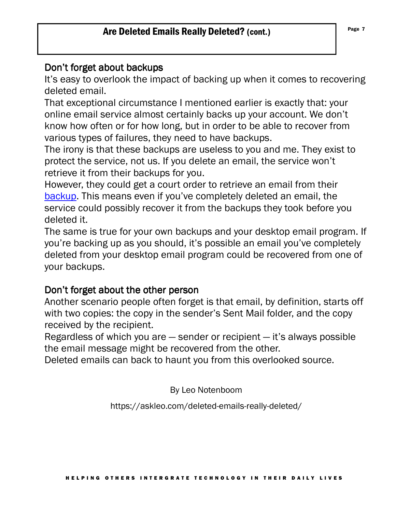#### Don't forget about backups

It's easy to overlook the impact of backing up when it comes to recovering deleted email.

That exceptional circumstance I mentioned earlier is exactly that: your online email service almost certainly backs up your account. We don't know how often or for how long, but in order to be able to recover from various types of failures, they need to have backups.

The irony is that these backups are useless to you and me. They exist to protect the service, not us. If you delete an email, the service won't retrieve it from their backups for you.

However, they could get a court order to retrieve an email from their backup. This means even if you've completely deleted an email, the service could possibly recover it from the backups they took before you deleted it.

The same is true for your own backups and your desktop email program. If you're backing up as you should, it's possible an email you've completely deleted from your desktop email program could be recovered from one of your backups.

#### Don't forget about the other person

Another scenario people often forget is that email, by definition, starts off with two copies: the copy in the sender's Sent Mail folder, and the copy received by the recipient.

Regardless of which you are — sender or recipient — it's always possible the email message might be recovered from the other.

Deleted emails can back to haunt you from this overlooked source.

By Leo Notenboom

https://askleo.com/deleted-emails-really-deleted/